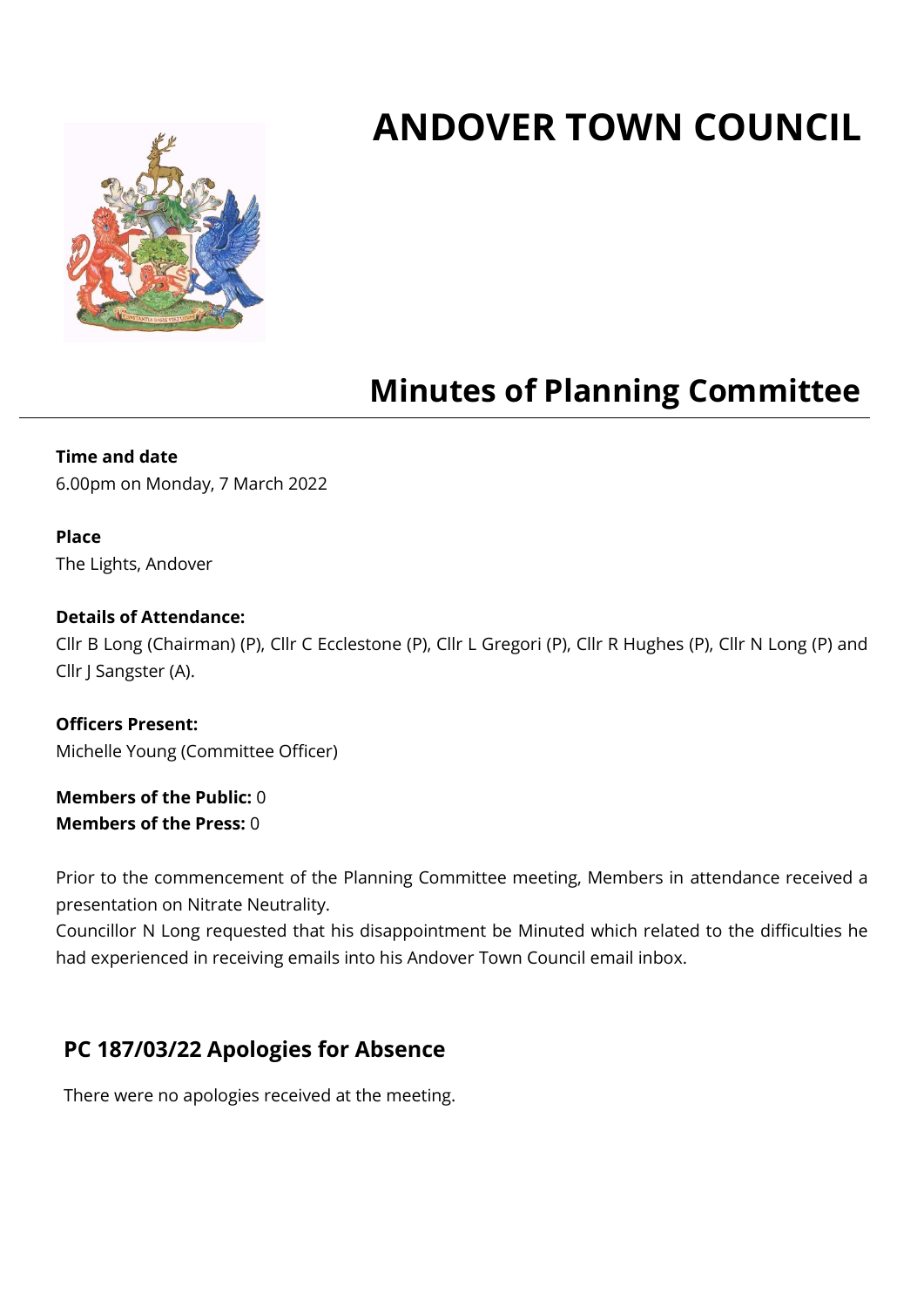# **ANDOVER TOWN COUNCIL**



## **Minutes of Planning Committee**

#### **Time and date**

6.00pm on Monday, 7 March 2022

#### **Place**

The Lights, Andover

#### **Details of Attendance:**

Cllr B Long (Chairman) (P), Cllr C Ecclestone (P), Cllr L Gregori (P), Cllr R Hughes (P), Cllr N Long (P) and Cllr J Sangster (A).

**Officers Present:** Michelle Young (Committee Officer)

**Members of the Public:** 0 **Members of the Press:** 0

Prior to the commencement of the Planning Committee meeting, Members in attendance received a presentation on Nitrate Neutrality.

Councillor N Long requested that his disappointment be Minuted which related to the difficulties he had experienced in receiving emails into his Andover Town Council email inbox.

## **PC 187/03/22 Apologies for Absence**

There were no apologies received at the meeting.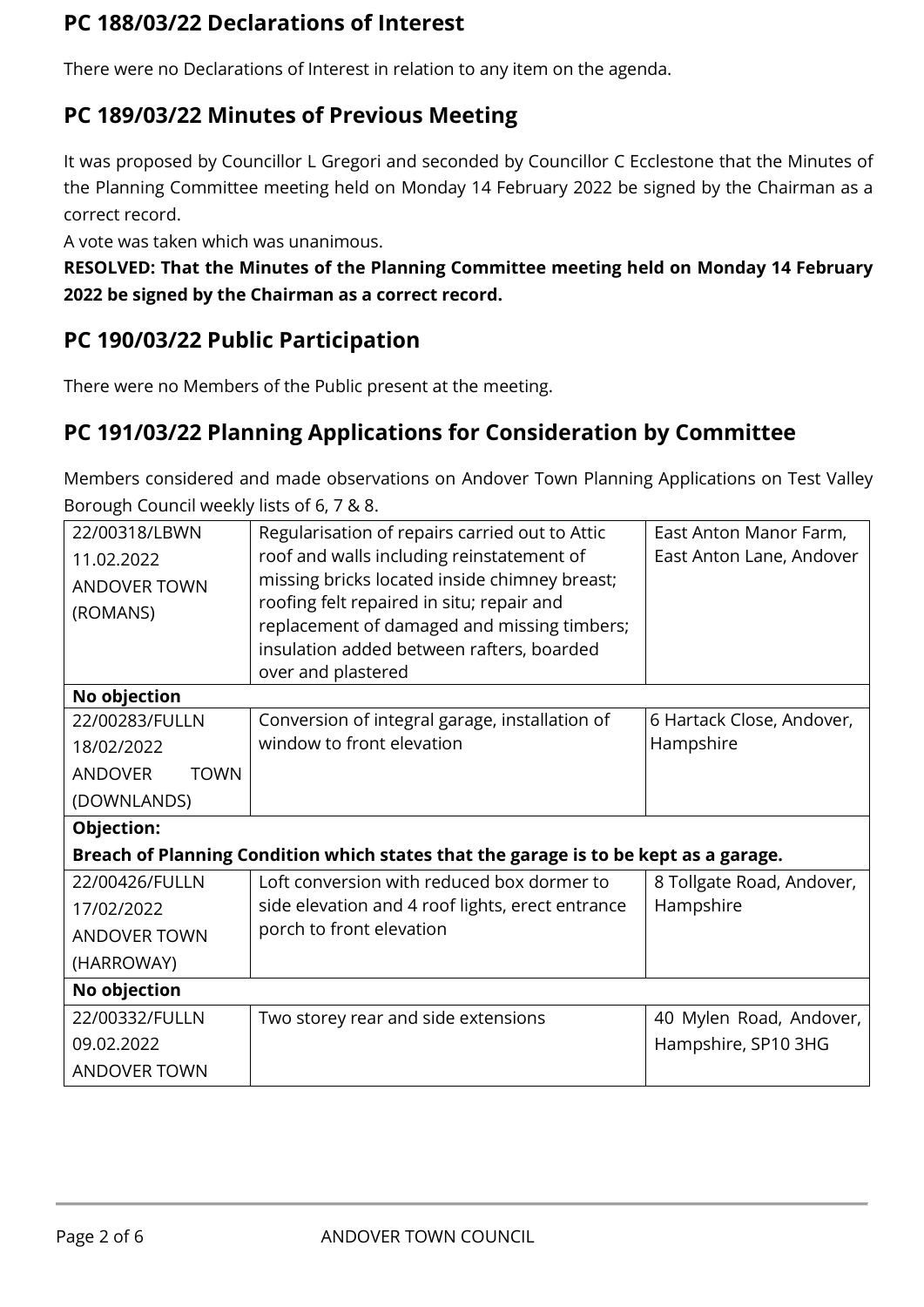## **PC 188/03/22 Declarations of Interest**

There were no Declarations of Interest in relation to any item on the agenda.

## **PC 189/03/22 Minutes of Previous Meeting**

It was proposed by Councillor L Gregori and seconded by Councillor C Ecclestone that the Minutes of the Planning Committee meeting held on Monday 14 February 2022 be signed by the Chairman as a correct record.

A vote was taken which was unanimous.

**RESOLVED: That the Minutes of the Planning Committee meeting held on Monday 14 February 2022 be signed by the Chairman as a correct record.**

## **PC 190/03/22 Public Participation**

There were no Members of the Public present at the meeting.

## **PC 191/03/22 Planning Applications for Consideration by Committee**

Members considered and made observations on Andover Town Planning Applications on Test Valley Borough Council weekly lists of 6, 7 & 8.

| 22/00318/LBWN<br>11.02.2022<br><b>ANDOVER TOWN</b><br>(ROMANS)                       | Regularisation of repairs carried out to Attic<br>roof and walls including reinstatement of<br>missing bricks located inside chimney breast;<br>roofing felt repaired in situ; repair and<br>replacement of damaged and missing timbers;<br>insulation added between rafters, boarded<br>over and plastered | East Anton Manor Farm,<br>East Anton Lane, Andover |  |  |  |
|--------------------------------------------------------------------------------------|-------------------------------------------------------------------------------------------------------------------------------------------------------------------------------------------------------------------------------------------------------------------------------------------------------------|----------------------------------------------------|--|--|--|
| No objection                                                                         |                                                                                                                                                                                                                                                                                                             |                                                    |  |  |  |
| 22/00283/FULLN                                                                       | Conversion of integral garage, installation of                                                                                                                                                                                                                                                              | 6 Hartack Close, Andover,                          |  |  |  |
| 18/02/2022                                                                           | window to front elevation                                                                                                                                                                                                                                                                                   | Hampshire                                          |  |  |  |
| <b>ANDOVER</b><br><b>TOWN</b>                                                        |                                                                                                                                                                                                                                                                                                             |                                                    |  |  |  |
| (DOWNLANDS)                                                                          |                                                                                                                                                                                                                                                                                                             |                                                    |  |  |  |
| Objection:                                                                           |                                                                                                                                                                                                                                                                                                             |                                                    |  |  |  |
| Breach of Planning Condition which states that the garage is to be kept as a garage. |                                                                                                                                                                                                                                                                                                             |                                                    |  |  |  |
| 22/00426/FULLN                                                                       | Loft conversion with reduced box dormer to                                                                                                                                                                                                                                                                  | 8 Tollgate Road, Andover,                          |  |  |  |
| 17/02/2022                                                                           | side elevation and 4 roof lights, erect entrance                                                                                                                                                                                                                                                            | Hampshire                                          |  |  |  |
| <b>ANDOVER TOWN</b>                                                                  | porch to front elevation                                                                                                                                                                                                                                                                                    |                                                    |  |  |  |
| (HARROWAY)                                                                           |                                                                                                                                                                                                                                                                                                             |                                                    |  |  |  |
| No objection                                                                         |                                                                                                                                                                                                                                                                                                             |                                                    |  |  |  |
| 22/00332/FULLN                                                                       | Two storey rear and side extensions                                                                                                                                                                                                                                                                         | 40 Mylen Road, Andover,                            |  |  |  |
| 09.02.2022                                                                           |                                                                                                                                                                                                                                                                                                             | Hampshire, SP10 3HG                                |  |  |  |
| <b>ANDOVER TOWN</b>                                                                  |                                                                                                                                                                                                                                                                                                             |                                                    |  |  |  |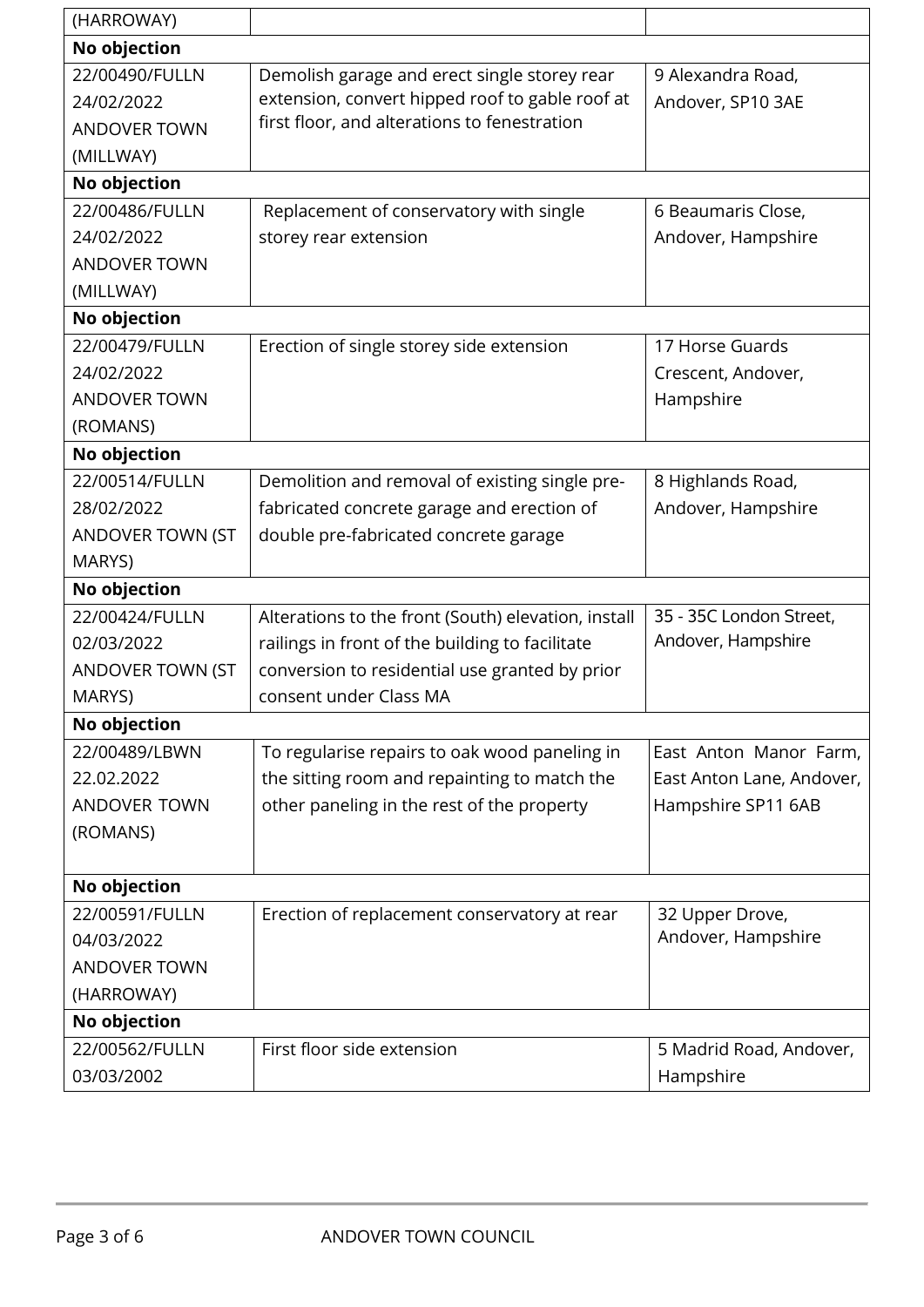| (HARROWAY)              |                                                     |                           |  |  |  |
|-------------------------|-----------------------------------------------------|---------------------------|--|--|--|
| No objection            |                                                     |                           |  |  |  |
| 22/00490/FULLN          | Demolish garage and erect single storey rear        | 9 Alexandra Road,         |  |  |  |
| 24/02/2022              | extension, convert hipped roof to gable roof at     | Andover, SP10 3AE         |  |  |  |
| <b>ANDOVER TOWN</b>     | first floor, and alterations to fenestration        |                           |  |  |  |
| (MILLWAY)               |                                                     |                           |  |  |  |
| No objection            |                                                     |                           |  |  |  |
| 22/00486/FULLN          | Replacement of conservatory with single             | 6 Beaumaris Close,        |  |  |  |
| 24/02/2022              | storey rear extension                               | Andover, Hampshire        |  |  |  |
| <b>ANDOVER TOWN</b>     |                                                     |                           |  |  |  |
| (MILLWAY)               |                                                     |                           |  |  |  |
| No objection            |                                                     |                           |  |  |  |
| 22/00479/FULLN          | Erection of single storey side extension            | 17 Horse Guards           |  |  |  |
| 24/02/2022              |                                                     | Crescent, Andover,        |  |  |  |
| <b>ANDOVER TOWN</b>     |                                                     | Hampshire                 |  |  |  |
| (ROMANS)                |                                                     |                           |  |  |  |
| No objection            |                                                     |                           |  |  |  |
| 22/00514/FULLN          | Demolition and removal of existing single pre-      | 8 Highlands Road,         |  |  |  |
| 28/02/2022              | fabricated concrete garage and erection of          | Andover, Hampshire        |  |  |  |
| ANDOVER TOWN (ST        | double pre-fabricated concrete garage               |                           |  |  |  |
| MARYS)                  |                                                     |                           |  |  |  |
| No objection            |                                                     |                           |  |  |  |
| 22/00424/FULLN          | Alterations to the front (South) elevation, install | 35 - 35C London Street,   |  |  |  |
| 02/03/2022              | railings in front of the building to facilitate     | Andover, Hampshire        |  |  |  |
| <b>ANDOVER TOWN (ST</b> | conversion to residential use granted by prior      |                           |  |  |  |
| MARYS)                  | consent under Class MA                              |                           |  |  |  |
| No objection            |                                                     |                           |  |  |  |
| 22/00489/LBWN           | To regularise repairs to oak wood paneling in       | East Anton Manor Farm,    |  |  |  |
| 22.02.2022              | the sitting room and repainting to match the        | East Anton Lane, Andover, |  |  |  |
| <b>ANDOVER TOWN</b>     | other paneling in the rest of the property          | Hampshire SP11 6AB        |  |  |  |
| (ROMANS)                |                                                     |                           |  |  |  |
|                         |                                                     |                           |  |  |  |
| No objection            |                                                     |                           |  |  |  |
| 22/00591/FULLN          | Erection of replacement conservatory at rear        | 32 Upper Drove,           |  |  |  |
| 04/03/2022              |                                                     | Andover, Hampshire        |  |  |  |
| <b>ANDOVER TOWN</b>     |                                                     |                           |  |  |  |
| (HARROWAY)              |                                                     |                           |  |  |  |
| No objection            |                                                     |                           |  |  |  |
| 22/00562/FULLN          | First floor side extension                          | 5 Madrid Road, Andover,   |  |  |  |
| 03/03/2002              |                                                     | Hampshire                 |  |  |  |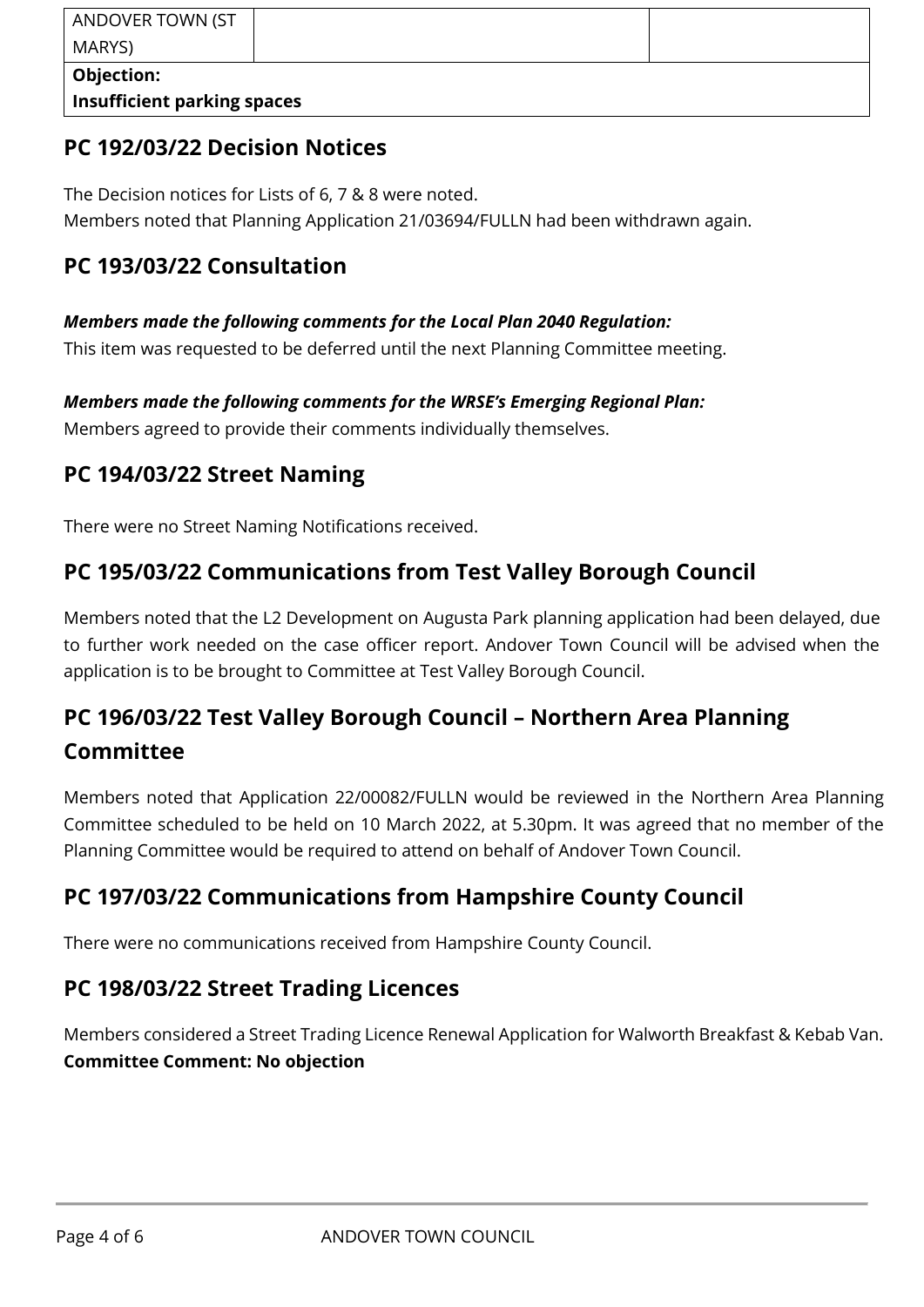| ANDOVER TOWN (ST                   |  |  |  |  |  |
|------------------------------------|--|--|--|--|--|
| MARYS)                             |  |  |  |  |  |
| Objection:                         |  |  |  |  |  |
| <b>Insufficient parking spaces</b> |  |  |  |  |  |

## **PC 192/03/22 Decision Notices**

The Decision notices for Lists of 6, 7 & 8 were noted. Members noted that Planning Application 21/03694/FULLN had been withdrawn again.

## **PC 193/03/22 Consultation**

#### *Members made the following comments for the Local Plan 2040 Regulation:*

This item was requested to be deferred until the next Planning Committee meeting.

#### *Members made the following comments for the WRSE's Emerging Regional Plan:*

Members agreed to provide their comments individually themselves.

## **PC 194/03/22 Street Naming**

There were no Street Naming Notifications received.

## **PC 195/03/22 Communications from Test Valley Borough Council**

Members noted that the L2 Development on Augusta Park planning application had been delayed, due to further work needed on the case officer report. Andover Town Council will be advised when the application is to be brought to Committee at Test Valley Borough Council.

## **PC 196/03/22 Test Valley Borough Council – Northern Area Planning Committee**

Members noted that Application 22/00082/FULLN would be reviewed in the Northern Area Planning Committee scheduled to be held on 10 March 2022, at 5.30pm. It was agreed that no member of the Planning Committee would be required to attend on behalf of Andover Town Council.

## **PC 197/03/22 Communications from Hampshire County Council**

There were no communications received from Hampshire County Council.

## **PC 198/03/22 Street Trading Licences**

Members considered a Street Trading Licence Renewal Application for Walworth Breakfast & Kebab Van. **Committee Comment: No objection**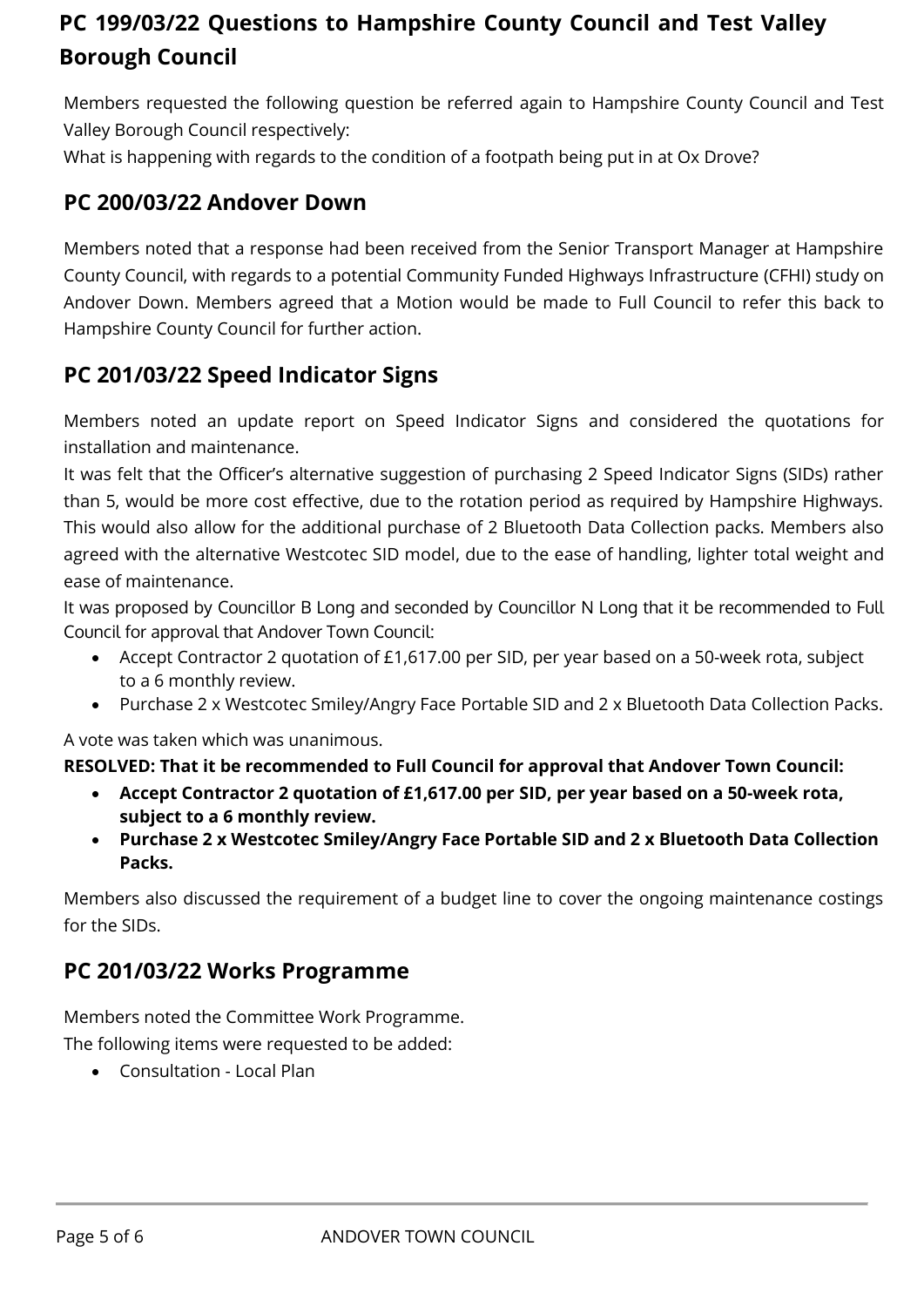## **PC 199/03/22 Questions to Hampshire County Council and Test Valley Borough Council**

Members requested the following question be referred again to Hampshire County Council and Test Valley Borough Council respectively:

What is happening with regards to the condition of a footpath being put in at Ox Drove?

## **PC 200/03/22 Andover Down**

Members noted that a response had been received from the Senior Transport Manager at Hampshire County Council, with regards to a potential Community Funded Highways Infrastructure (CFHI) study on Andover Down. Members agreed that a Motion would be made to Full Council to refer this back to Hampshire County Council for further action.

## **PC 201/03/22 Speed Indicator Signs**

Members noted an update report on Speed Indicator Signs and considered the quotations for installation and maintenance.

It was felt that the Officer's alternative suggestion of purchasing 2 Speed Indicator Signs (SIDs) rather than 5, would be more cost effective, due to the rotation period as required by Hampshire Highways. This would also allow for the additional purchase of 2 Bluetooth Data Collection packs. Members also agreed with the alternative Westcotec SID model, due to the ease of handling, lighter total weight and ease of maintenance.

It was proposed by Councillor B Long and seconded by Councillor N Long that it be recommended to Full Council for approval that Andover Town Council:

- Accept Contractor 2 quotation of £1,617.00 per SID, per year based on a 50-week rota, subject to a 6 monthly review.
- Purchase 2 x Westcotec Smiley/Angry Face Portable SID and 2 x Bluetooth Data Collection Packs.

A vote was taken which was unanimous.

#### **RESOLVED: That it be recommended to Full Council for approval that Andover Town Council:**

- **Accept Contractor 2 quotation of £1,617.00 per SID, per year based on a 50-week rota, subject to a 6 monthly review.**
- **Purchase 2 x Westcotec Smiley/Angry Face Portable SID and 2 x Bluetooth Data Collection Packs.**

Members also discussed the requirement of a budget line to cover the ongoing maintenance costings for the SIDs.

### **PC 201/03/22 Works Programme**

Members noted the Committee Work Programme.

The following items were requested to be added:

• Consultation - Local Plan